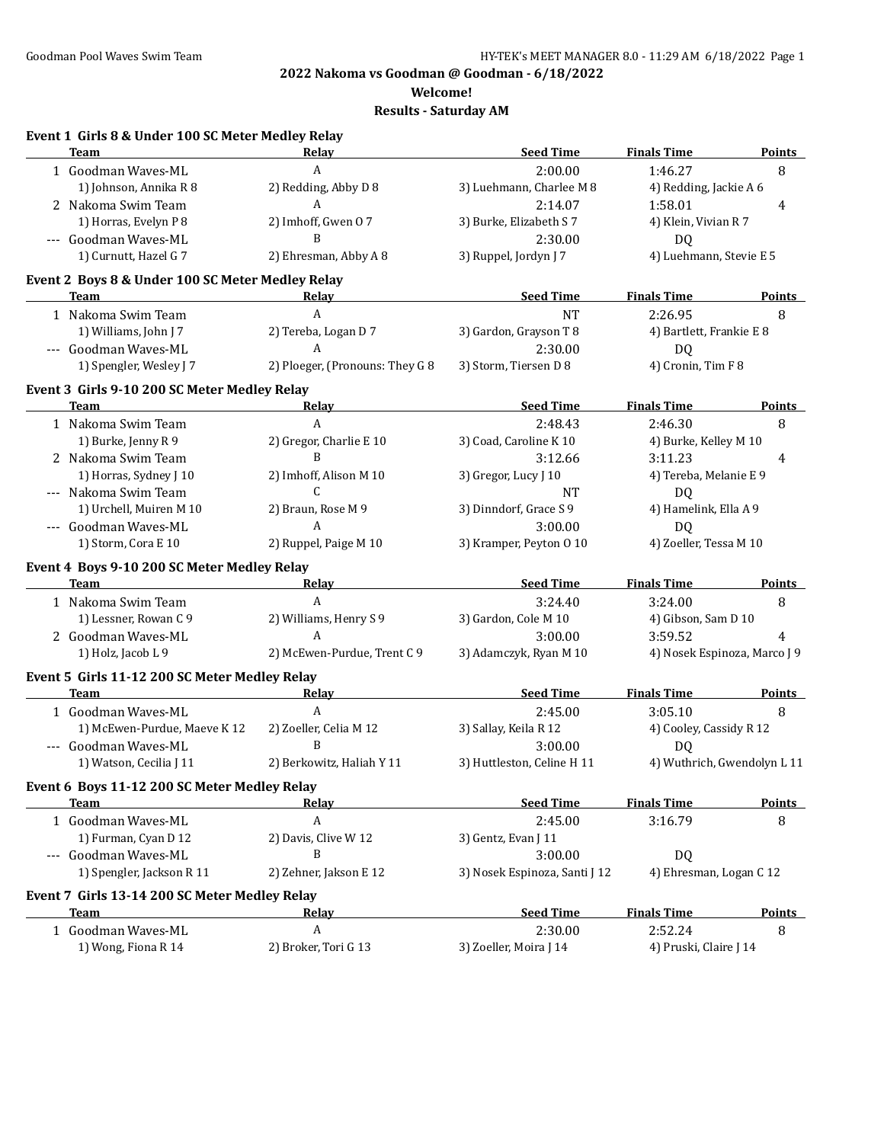**Welcome!**

| Event 1 Girls 8 & Under 100 SC Meter Medley Relay<br>Team | Relay                           | <b>Seed Time</b>              | <b>Finals Time</b>           | <b>Points</b>               |
|-----------------------------------------------------------|---------------------------------|-------------------------------|------------------------------|-----------------------------|
| 1 Goodman Waves-ML                                        | $\boldsymbol{A}$                | 2:00.00                       | 1:46.27                      | 8                           |
| 1) Johnson, Annika R 8                                    | 2) Redding, Abby D 8            | 3) Luehmann, Charlee M 8      | 4) Redding, Jackie A 6       |                             |
| 2 Nakoma Swim Team                                        | A                               | 2:14.07                       | 1:58.01                      | 4                           |
| 1) Horras, Evelyn P 8                                     | 2) Imhoff, Gwen 07              | 3) Burke, Elizabeth S 7       | 4) Klein, Vivian R 7         |                             |
| --- Goodman Waves-ML                                      | B                               | 2:30.00                       | DQ                           |                             |
| 1) Curnutt, Hazel G 7                                     | 2) Ehresman, Abby A 8           | 3) Ruppel, Jordyn J 7         | 4) Luehmann, Stevie E 5      |                             |
| Event 2 Boys 8 & Under 100 SC Meter Medley Relay          |                                 |                               |                              |                             |
| Team                                                      | <u>Relav</u>                    | <b>Seed Time</b>              | <b>Finals Time</b>           | <b>Points</b>               |
| 1 Nakoma Swim Team                                        | A                               | <b>NT</b>                     | 2:26.95                      | 8                           |
| 1) Williams, John J 7                                     | 2) Tereba, Logan D 7            | 3) Gardon, Grayson T 8        | 4) Bartlett, Frankie E 8     |                             |
| --- Goodman Waves-ML                                      | A                               | 2:30.00                       | <b>DQ</b>                    |                             |
| 1) Spengler, Wesley J 7                                   | 2) Ploeger, (Pronouns: They G 8 | 3) Storm, Tiersen D 8         | 4) Cronin, Tim F 8           |                             |
| Event 3 Girls 9-10 200 SC Meter Medley Relay              |                                 |                               |                              |                             |
| <b>Team</b>                                               | Relay                           | <b>Seed Time</b>              | <b>Finals Time</b>           | <b>Points</b>               |
| 1 Nakoma Swim Team                                        | A                               | 2:48.43                       | 2:46.30                      | 8                           |
| 1) Burke, Jenny R 9                                       | 2) Gregor, Charlie E 10         | 3) Coad, Caroline K 10        | 4) Burke, Kelley M 10        |                             |
| 2 Nakoma Swim Team                                        | B                               | 3:12.66                       | 3:11.23                      | 4                           |
| 1) Horras, Sydney J 10                                    | 2) Imhoff, Alison M 10          | 3) Gregor, Lucy J 10          | 4) Tereba, Melanie E 9       |                             |
| --- Nakoma Swim Team                                      | C                               | <b>NT</b>                     | DQ                           |                             |
| 1) Urchell, Muiren M 10                                   | 2) Braun, Rose M 9              | 3) Dinndorf, Grace S 9        | 4) Hamelink, Ella A 9        |                             |
| --- Goodman Waves-ML                                      | A                               | 3:00.00                       | DQ                           |                             |
| 1) Storm, Cora E 10                                       | 2) Ruppel, Paige M 10           | 3) Kramper, Peyton 0 10       | 4) Zoeller, Tessa M 10       |                             |
| Event 4 Boys 9-10 200 SC Meter Medley Relay               |                                 |                               |                              |                             |
| Team                                                      | Relay                           | <b>Seed Time</b>              | <b>Finals Time</b>           | <b>Points</b>               |
| 1 Nakoma Swim Team                                        | A                               | 3:24.40                       | 3:24.00                      | 8                           |
| 1) Lessner, Rowan C 9                                     | 2) Williams, Henry S 9          | 3) Gardon, Cole M 10          | 4) Gibson, Sam D 10          |                             |
| 2 Goodman Waves-ML                                        | A                               | 3:00.00                       | 3:59.52                      | 4                           |
| 1) Holz, Jacob L 9                                        | 2) McEwen-Purdue, Trent C 9     | 3) Adamczyk, Ryan M 10        | 4) Nosek Espinoza, Marco J 9 |                             |
| Event 5 Girls 11-12 200 SC Meter Medley Relay             |                                 |                               |                              |                             |
| <b>Team</b>                                               | <u>Relay</u>                    | <b>Seed Time</b>              | <b>Finals Time</b>           | <b>Points</b>               |
| 1 Goodman Waves-ML                                        | A                               | 2:45.00                       | 3:05.10                      | 8                           |
| 1) McEwen-Purdue, Maeve K 12                              | 2) Zoeller, Celia M 12          | 3) Sallay, Keila R 12         | 4) Cooley, Cassidy R 12      |                             |
| --- Goodman Waves-ML                                      | B                               | 3:00.00                       | DQ                           |                             |
| 1) Watson, Cecilia J 11                                   | 2) Berkowitz, Haliah Y 11       | 3) Huttleston, Celine H 11    |                              | 4) Wuthrich, Gwendolyn L 11 |
| Event 6 Boys 11-12 200 SC Meter Medley Relay              |                                 |                               |                              |                             |
| Team                                                      | <u>Relav</u>                    | <b>Seed Time</b>              | <b>Finals Time</b>           | <b>Points</b>               |
| 1 Goodman Waves-ML                                        | A                               | 2:45.00                       | 3:16.79                      | 8                           |
| 1) Furman, Cyan D 12                                      | 2) Davis, Clive W 12            | 3) Gentz, Evan J 11           |                              |                             |
| --- Goodman Waves-ML                                      | B                               | 3:00.00                       | DQ                           |                             |
| 1) Spengler, Jackson R 11                                 | 2) Zehner, Jakson E 12          | 3) Nosek Espinoza, Santi J 12 | 4) Ehresman, Logan C 12      |                             |
| Event 7 Girls 13-14 200 SC Meter Medley Relay             |                                 |                               |                              |                             |
| Team                                                      | <u>Relav</u>                    | <b>Seed Time</b>              | <b>Finals Time</b>           | <b>Points</b>               |
| 1 Goodman Waves-ML                                        | A                               | 2:30.00                       | 2:52.24                      | 8                           |
| 1) Wong, Fiona R 14                                       | 2) Broker, Tori G 13            | 3) Zoeller, Moira J 14        | 4) Pruski, Claire J 14       |                             |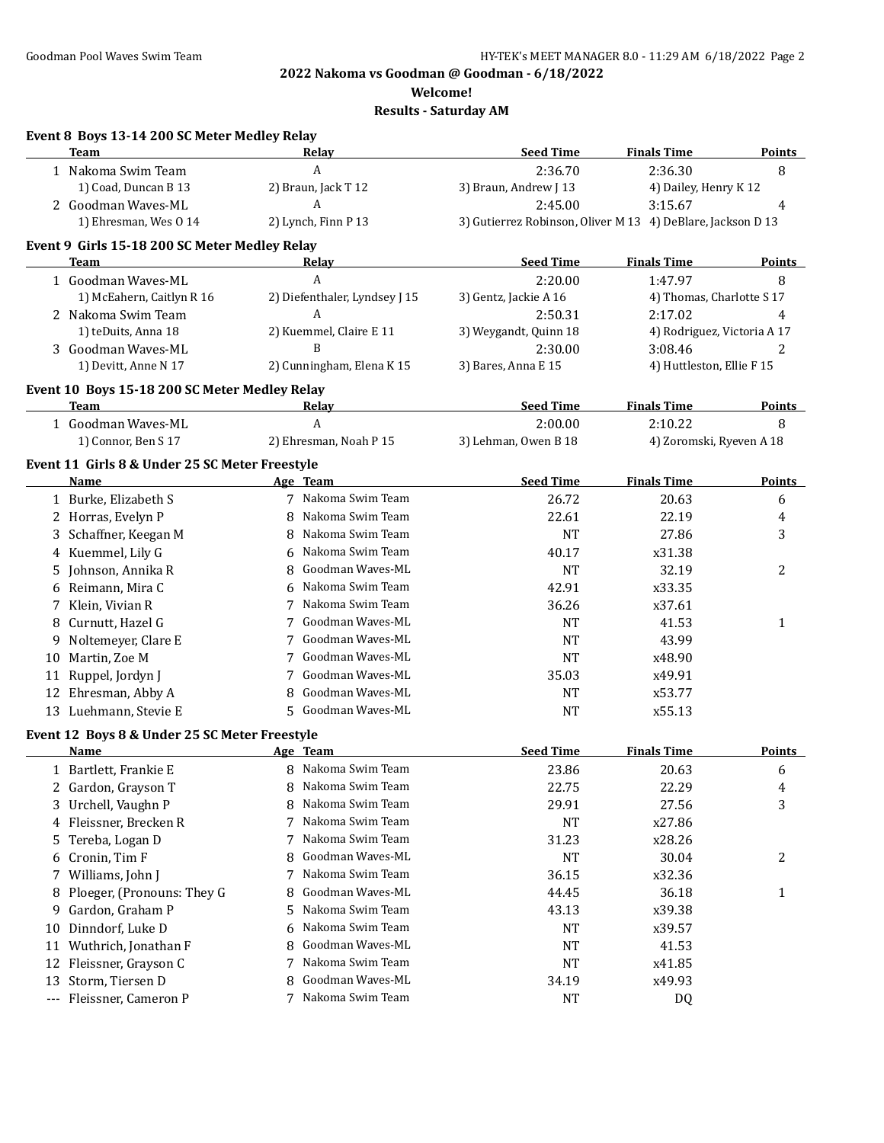**Welcome!**

|                     | Event 8 Boys 13-14 200 SC Meter Medley Relay<br>Team | Relay                          | <b>Seed Time</b>                                            | <b>Finals Time</b>          | <b>Points</b> |
|---------------------|------------------------------------------------------|--------------------------------|-------------------------------------------------------------|-----------------------------|---------------|
|                     | 1 Nakoma Swim Team                                   | A                              | 2:36.70                                                     | 2:36.30                     | 8             |
|                     | 1) Coad, Duncan B 13                                 | 2) Braun, Jack T 12            | 3) Braun, Andrew J 13                                       | 4) Dailey, Henry K 12       |               |
|                     | 2 Goodman Waves-ML                                   | A                              | 2:45.00                                                     | 3:15.67                     | 4             |
|                     | 1) Ehresman, Wes 0 14                                | 2) Lynch, Finn P 13            | 3) Gutierrez Robinson, Oliver M 13 4) DeBlare, Jackson D 13 |                             |               |
|                     | Event 9 Girls 15-18 200 SC Meter Medley Relay        |                                |                                                             |                             |               |
|                     | Team                                                 | Relay                          | <b>Seed Time</b>                                            | <b>Finals Time</b>          | <b>Points</b> |
|                     | 1 Goodman Waves-ML                                   | A                              | 2:20.00                                                     | 1:47.97                     | 8             |
|                     | 1) McEahern, Caitlyn R 16                            | 2) Diefenthaler, Lyndsey J 15  | 3) Gentz, Jackie A 16                                       | 4) Thomas, Charlotte S 17   |               |
|                     | 2 Nakoma Swim Team                                   | A                              | 2:50.31                                                     | 2:17.02                     | 4             |
|                     | 1) teDuits, Anna 18                                  | 2) Kuemmel, Claire E 11        | 3) Weygandt, Quinn 18                                       | 4) Rodriguez, Victoria A 17 |               |
|                     | 3 Goodman Waves-ML                                   | B                              | 2:30.00                                                     | 3:08.46                     | 2             |
|                     | 1) Devitt, Anne N 17                                 | 2) Cunningham, Elena K 15      | 3) Bares, Anna E 15                                         | 4) Huttleston, Ellie F 15   |               |
|                     | Event 10 Boys 15-18 200 SC Meter Medley Relay        |                                |                                                             |                             |               |
|                     | Team                                                 | Relay                          | <b>Seed Time</b>                                            | <b>Finals Time</b>          | <b>Points</b> |
|                     | 1 Goodman Waves-ML                                   | A                              | 2:00.00                                                     | 2:10.22                     | 8             |
|                     | 1) Connor, Ben S 17                                  | 2) Ehresman, Noah P 15         | 3) Lehman, Owen B 18                                        | 4) Zoromski, Ryeven A 18    |               |
|                     | Event 11 Girls 8 & Under 25 SC Meter Freestyle       |                                |                                                             |                             |               |
|                     | Name                                                 | Age Team<br>7 Nakoma Swim Team | <b>Seed Time</b>                                            | <b>Finals Time</b>          | Points        |
|                     | 1 Burke, Elizabeth S                                 | Nakoma Swim Team               | 26.72                                                       | 20.63                       | 6             |
|                     | 2 Horras, Evelyn P                                   | 8<br>Nakoma Swim Team          | 22.61                                                       | 22.19                       | 4             |
|                     | 3 Schaffner, Keegan M                                | 8<br>Nakoma Swim Team          | <b>NT</b>                                                   | 27.86                       | 3             |
|                     | 4 Kuemmel, Lily G                                    | 6<br>Goodman Waves-ML          | 40.17                                                       | x31.38                      |               |
|                     | 5 Johnson, Annika R                                  | 8<br>Nakoma Swim Team          | <b>NT</b>                                                   | 32.19                       | 2             |
|                     | 6 Reimann, Mira C                                    | 6<br>Nakoma Swim Team          | 42.91                                                       | x33.35                      |               |
|                     | 7 Klein, Vivian R                                    | 7<br>Goodman Waves-ML          | 36.26                                                       | x37.61                      |               |
| 8                   | Curnutt, Hazel G                                     | Goodman Waves-ML               | <b>NT</b>                                                   | 41.53                       | 1             |
| 9.                  | Noltemeyer, Clare E                                  | Goodman Waves-ML               | <b>NT</b>                                                   | 43.99                       |               |
| 10                  | Martin, Zoe M                                        | 7<br>Goodman Waves-ML          | <b>NT</b>                                                   | x48.90                      |               |
|                     | 11 Ruppel, Jordyn J                                  | Goodman Waves-ML               | 35.03                                                       | x49.91                      |               |
|                     | 12 Ehresman, Abby A                                  | 8<br>5 Goodman Waves-ML        | <b>NT</b>                                                   | x53.77                      |               |
|                     | 13 Luehmann, Stevie E                                |                                | <b>NT</b>                                                   | x55.13                      |               |
|                     | Event 12 Boys 8 & Under 25 SC Meter Freestyle        |                                | <b>Seed Time</b>                                            | <b>Finals Time</b>          |               |
|                     | Name                                                 | Age Team<br>8 Nakoma Swim Team | 23.86                                                       |                             | <b>Points</b> |
|                     | 1 Bartlett, Frankie E                                | Nakoma Swim Team               |                                                             | 20.63                       | 6             |
| 2                   | Gardon, Grayson T                                    | 8<br>Nakoma Swim Team          | 22.75                                                       | 22.29                       | 4             |
|                     | 3 Urchell, Vaughn P                                  | 8<br>Nakoma Swim Team          | 29.91                                                       | 27.56                       | 3             |
|                     | 4 Fleissner, Brecken R                               | 7<br>Nakoma Swim Team<br>7     | <b>NT</b>                                                   | x27.86                      |               |
| 5.                  | Tereba, Logan D<br>Cronin, Tim F                     | Goodman Waves-ML<br>8          | 31.23<br><b>NT</b>                                          | x28.26<br>30.04             |               |
| 6                   | Williams, John J                                     | Nakoma Swim Team<br>7          |                                                             | x32.36                      | 2             |
| 7                   |                                                      | Goodman Waves-ML               | 36.15                                                       |                             |               |
| 8                   | Ploeger, (Pronouns: They G<br>Gardon, Graham P       | 8<br>Nakoma Swim Team<br>5     | 44.45                                                       | 36.18                       | 1             |
| 9                   |                                                      | Nakoma Swim Team               | 43.13                                                       | x39.38                      |               |
| 10                  | Dinndorf, Luke D                                     | 6<br>Goodman Waves-ML          | NT                                                          | x39.57                      |               |
| 11                  | Wuthrich, Jonathan F                                 | 8<br>Nakoma Swim Team          | NT                                                          | 41.53                       |               |
| 12                  | Fleissner, Grayson C                                 | 7<br>Goodman Waves-ML          | <b>NT</b>                                                   | x41.85                      |               |
| 13                  | Storm, Tiersen D                                     | 8<br>Nakoma Swim Team          | 34.19                                                       | x49.93                      |               |
| $\qquad \qquad - -$ | Fleissner, Cameron P                                 | 7                              | <b>NT</b>                                                   | DQ                          |               |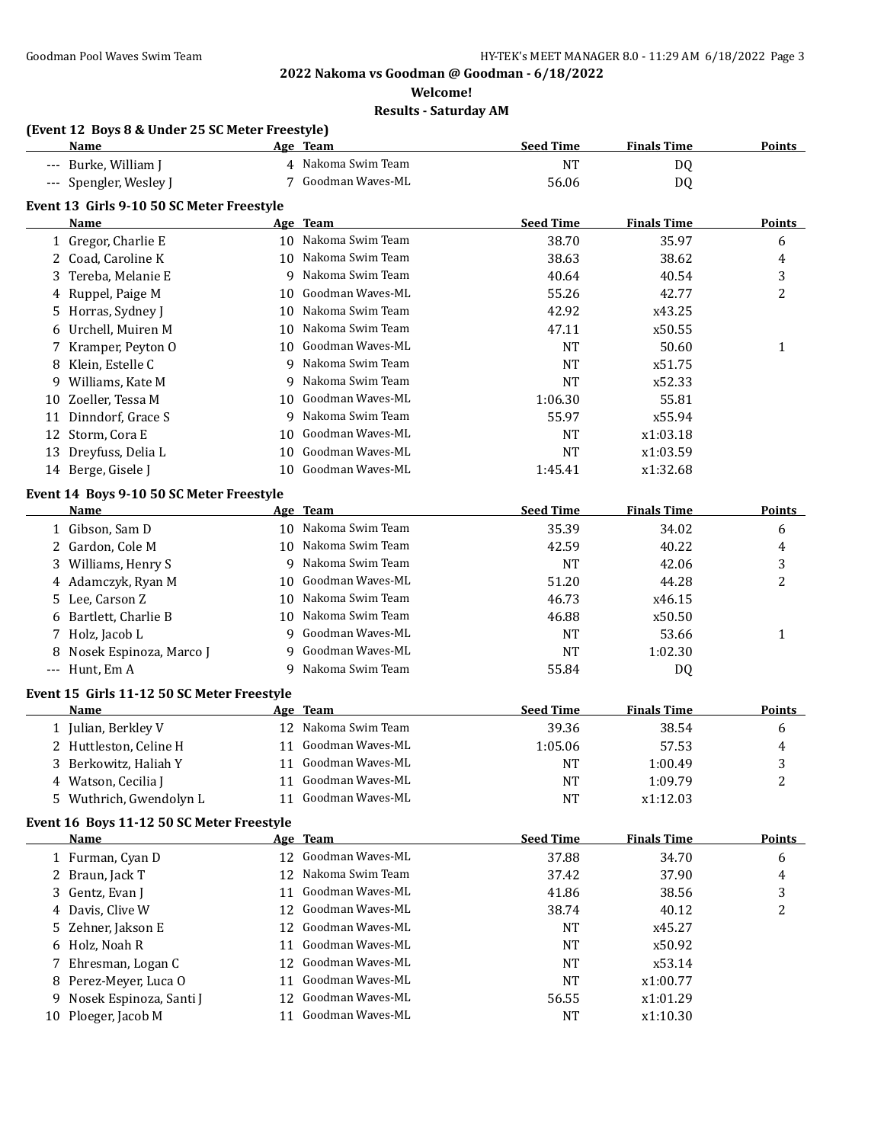**Welcome!**

|    | (Event 12 Boys 8 & Under 25 SC Meter Freestyle)<br><b>Name</b> |    | Age Team            | <b>Seed Time</b> | <b>Finals Time</b> | <b>Points</b> |
|----|----------------------------------------------------------------|----|---------------------|------------------|--------------------|---------------|
|    | --- Burke, William J                                           |    | 4 Nakoma Swim Team  | <b>NT</b>        | DQ                 |               |
|    | --- Spengler, Wesley J                                         |    | 7 Goodman Waves-ML  | 56.06            | DQ                 |               |
|    | Event 13 Girls 9-10 50 SC Meter Freestyle                      |    |                     |                  |                    |               |
|    | Name                                                           |    | Age Team            | <b>Seed Time</b> | <b>Finals Time</b> | <b>Points</b> |
|    | 1 Gregor, Charlie E                                            |    | 10 Nakoma Swim Team | 38.70            | 35.97              | 6             |
| 2  | Coad, Caroline K                                               | 10 | Nakoma Swim Team    | 38.63            | 38.62              | 4             |
| 3  | Tereba, Melanie E                                              | 9  | Nakoma Swim Team    | 40.64            | 40.54              | 3             |
| 4  | Ruppel, Paige M                                                | 10 | Goodman Waves-ML    | 55.26            | 42.77              | 2             |
|    | 5 Horras, Sydney J                                             | 10 | Nakoma Swim Team    | 42.92            | x43.25             |               |
| 6  | Urchell, Muiren M                                              | 10 | Nakoma Swim Team    | 47.11            | x50.55             |               |
|    | 7 Kramper, Peyton O                                            | 10 | Goodman Waves-ML    | <b>NT</b>        | 50.60              | 1             |
| 8  | Klein, Estelle C                                               | 9  | Nakoma Swim Team    | <b>NT</b>        | x51.75             |               |
| 9  | Williams, Kate M                                               | 9  | Nakoma Swim Team    | <b>NT</b>        | x52.33             |               |
| 10 | Zoeller, Tessa M                                               | 10 | Goodman Waves-ML    | 1:06.30          | 55.81              |               |
| 11 | Dinndorf, Grace S                                              | 9  | Nakoma Swim Team    | 55.97            | x55.94             |               |
|    | 12 Storm, Cora E                                               | 10 | Goodman Waves-ML    | <b>NT</b>        | x1:03.18           |               |
|    | 13 Dreyfuss, Delia L                                           | 10 | Goodman Waves-ML    | <b>NT</b>        | x1:03.59           |               |
|    | 14 Berge, Gisele J                                             | 10 | Goodman Waves-ML    | 1:45.41          | x1:32.68           |               |
|    | Event 14 Boys 9-10 50 SC Meter Freestyle                       |    |                     |                  |                    |               |
|    | Name                                                           |    | Age Team            | <b>Seed Time</b> | <b>Finals Time</b> | <b>Points</b> |
|    | 1 Gibson, Sam D                                                | 10 | Nakoma Swim Team    | 35.39            | 34.02              | 6             |
|    | 2 Gardon, Cole M                                               | 10 | Nakoma Swim Team    | 42.59            | 40.22              | 4             |
|    | 3 Williams, Henry S                                            | 9  | Nakoma Swim Team    | <b>NT</b>        | 42.06              | 3             |
|    | 4 Adamczyk, Ryan M                                             | 10 | Goodman Waves-ML    | 51.20            | 44.28              | 2             |
|    | 5 Lee, Carson Z                                                | 10 | Nakoma Swim Team    | 46.73            | x46.15             |               |
| 6  | Bartlett, Charlie B                                            | 10 | Nakoma Swim Team    | 46.88            | x50.50             |               |
|    | 7 Holz, Jacob L                                                | 9  | Goodman Waves-ML    | <b>NT</b>        | 53.66              | 1             |
|    | 8 Nosek Espinoza, Marco J                                      | 9  | Goodman Waves-ML    | <b>NT</b>        | 1:02.30            |               |
|    | --- Hunt, Em A                                                 | 9  | Nakoma Swim Team    | 55.84            | DQ                 |               |
|    |                                                                |    |                     |                  |                    |               |
|    | Event 15 Girls 11-12 50 SC Meter Freestyle                     |    |                     |                  |                    |               |
|    | Name                                                           |    | Age Team            | <b>Seed Time</b> | <b>Finals Time</b> | <b>Points</b> |
|    | 1 Julian, Berkley V                                            |    | 12 Nakoma Swim Team | 39.36            | 38.54              | 6             |
|    | 2 Huttleston, Celine H                                         |    | 11 Goodman Waves-ML | 1:05.06          | 57.53              | 4             |
|    | Berkowitz, Haliah Y                                            |    | 11 Goodman Waves-ML | <b>NT</b>        | 1:00.49            | 3             |
|    | 4 Watson, Cecilia J                                            |    | 11 Goodman Waves-ML | NT               | 1:09.79            | 2             |
|    | 5 Wuthrich, Gwendolyn L                                        | 11 | Goodman Waves-ML    | NT               | x1:12.03           |               |
|    | Event 16 Boys 11-12 50 SC Meter Freestyle                      |    |                     |                  |                    |               |
|    | Name                                                           |    | Age Team            | <b>Seed Time</b> | <b>Finals Time</b> | <b>Points</b> |
|    | 1 Furman, Cyan D                                               |    | 12 Goodman Waves-ML | 37.88            | 34.70              | 6             |
| 2  | Braun, Jack T                                                  | 12 | Nakoma Swim Team    | 37.42            | 37.90              | 4             |
| 3  | Gentz, Evan J                                                  | 11 | Goodman Waves-ML    | 41.86            | 38.56              | 3             |
| 4  | Davis, Clive W                                                 | 12 | Goodman Waves-ML    | 38.74            | 40.12              | 2             |
| 5  | Zehner, Jakson E                                               |    | 12 Goodman Waves-ML | NT               | x45.27             |               |
| 6  | Holz, Noah R                                                   | 11 | Goodman Waves-ML    | <b>NT</b>        | x50.92             |               |
| 7  | Ehresman, Logan C                                              | 12 | Goodman Waves-ML    | NT               | x53.14             |               |
| 8  | Perez-Meyer, Luca O                                            | 11 | Goodman Waves-ML    | NT               | x1:00.77           |               |
| 9  | Nosek Espinoza, Santi J                                        | 12 | Goodman Waves-ML    | 56.55            | x1:01.29           |               |
| 10 | Ploeger, Jacob M                                               | 11 | Goodman Waves-ML    | NT               | x1:10.30           |               |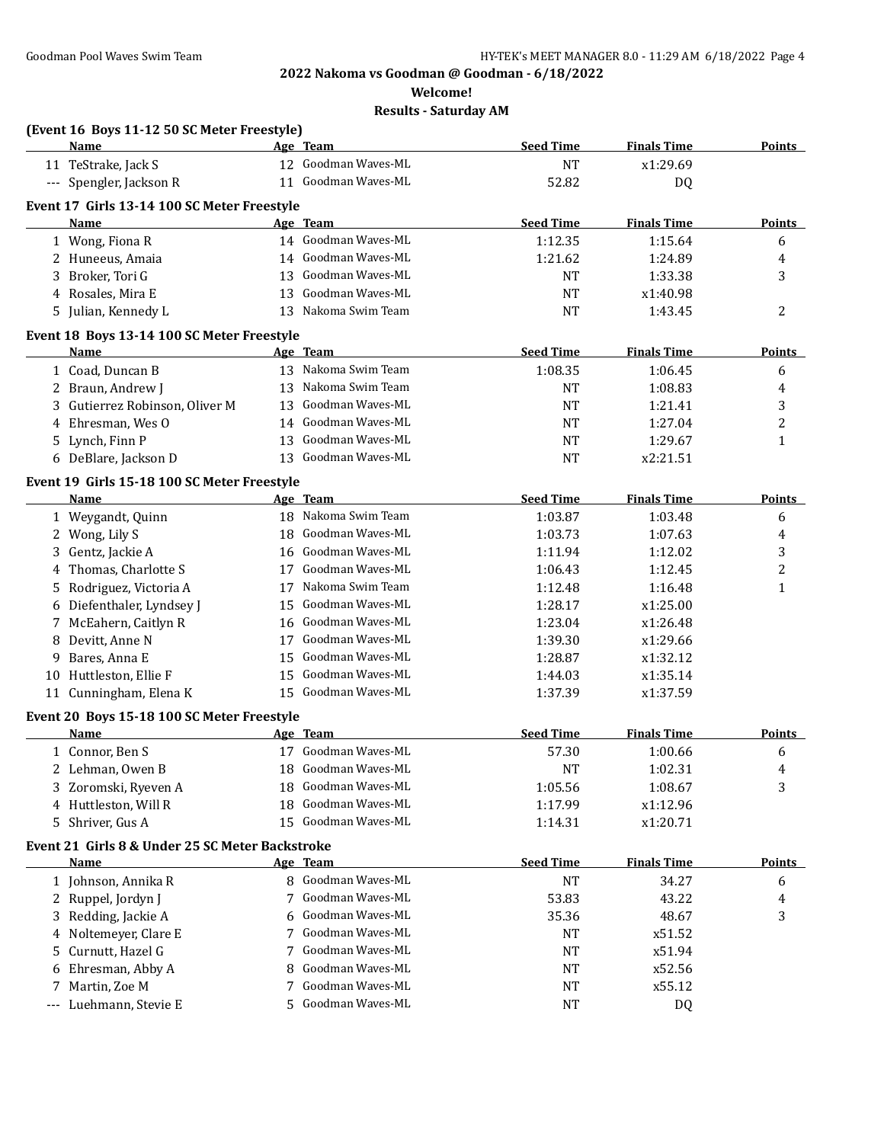**Welcome!**

|     | (Event 16 Boys 11-12 50 SC Meter Freestyle)     |    |                                      |                  |                    |               |
|-----|-------------------------------------------------|----|--------------------------------------|------------------|--------------------|---------------|
|     | Name                                            |    | Age Team                             | <b>Seed Time</b> | <b>Finals Time</b> | <b>Points</b> |
|     | 11 TeStrake, Jack S                             |    | 12 Goodman Waves-ML                  | <b>NT</b>        | x1:29.69           |               |
|     | --- Spengler, Jackson R                         |    | 11 Goodman Waves-ML                  | 52.82            | DQ                 |               |
|     | Event 17 Girls 13-14 100 SC Meter Freestyle     |    |                                      |                  |                    |               |
|     | Name                                            |    | Age Team                             | <b>Seed Time</b> | <b>Finals Time</b> | <b>Points</b> |
|     | 1 Wong, Fiona R                                 |    | 14 Goodman Waves-ML                  | 1:12.35          | 1:15.64            | 6             |
|     | 2 Huneeus, Amaia                                |    | 14 Goodman Waves-ML                  | 1:21.62          | 1:24.89            | 4             |
| 3   | Broker, Tori G                                  | 13 | Goodman Waves-ML                     | <b>NT</b>        | 1:33.38            | 3             |
|     | 4 Rosales, Mira E                               | 13 | Goodman Waves-ML                     | NT               | x1:40.98           |               |
|     | 5 Julian, Kennedy L                             | 13 | Nakoma Swim Team                     | <b>NT</b>        | 1:43.45            | 2             |
|     | Event 18 Boys 13-14 100 SC Meter Freestyle      |    |                                      |                  |                    |               |
|     | Name                                            |    | Age Team                             | <b>Seed Time</b> | <b>Finals Time</b> | <b>Points</b> |
|     | 1 Coad, Duncan B                                |    | 13 Nakoma Swim Team                  | 1:08.35          | 1:06.45            | 6             |
|     | 2 Braun, Andrew J                               |    | 13 Nakoma Swim Team                  | NT               | 1:08.83            | 4             |
|     | 3 Gutierrez Robinson, Oliver M                  |    | 13 Goodman Waves-ML                  | <b>NT</b>        | 1:21.41            | 3             |
|     | 4 Ehresman, Wes O                               |    | 14 Goodman Waves-ML                  | NT               | 1:27.04            | 2             |
|     | 5 Lynch, Finn P                                 |    | 13 Goodman Waves-ML                  | NT               | 1:29.67            | 1             |
|     | 6 DeBlare, Jackson D                            |    | 13 Goodman Waves-ML                  | NT               | x2:21.51           |               |
|     | Event 19 Girls 15-18 100 SC Meter Freestyle     |    |                                      |                  |                    |               |
|     | Name                                            |    | Age Team                             | <b>Seed Time</b> | <b>Finals Time</b> | <b>Points</b> |
|     | 1 Weygandt, Quinn                               |    | 18 Nakoma Swim Team                  | 1:03.87          | 1:03.48            | 6             |
|     | 2 Wong, Lily S                                  |    | 18 Goodman Waves-ML                  | 1:03.73          | 1:07.63            | 4             |
|     | 3 Gentz, Jackie A                               |    | 16 Goodman Waves-ML                  | 1:11.94          | 1:12.02            | 3             |
| 4   | Thomas, Charlotte S                             | 17 | Goodman Waves-ML                     | 1:06.43          | 1:12.45            | 2             |
|     | 5 Rodriguez, Victoria A                         |    | 17 Nakoma Swim Team                  | 1:12.48          | 1:16.48            | 1             |
|     | 6 Diefenthaler, Lyndsey J                       | 15 | Goodman Waves-ML                     | 1:28.17          | x1:25.00           |               |
|     | 7 McEahern, Caitlyn R                           |    | 16 Goodman Waves-ML                  | 1:23.04          | x1:26.48           |               |
| 8   | Devitt, Anne N                                  | 17 | Goodman Waves-ML                     | 1:39.30          | x1:29.66           |               |
| 9   | Bares, Anna E                                   | 15 | Goodman Waves-ML                     | 1:28.87          | x1:32.12           |               |
|     | 10 Huttleston, Ellie F                          | 15 | Goodman Waves-ML                     | 1:44.03          | x1:35.14           |               |
|     | 11 Cunningham, Elena K                          |    | 15 Goodman Waves-ML                  | 1:37.39          | x1:37.59           |               |
|     |                                                 |    |                                      |                  |                    |               |
|     | Event 20 Boys 15-18 100 SC Meter Freestyle      |    |                                      |                  |                    |               |
|     | <b>Name</b>                                     |    | Age Team<br>17 Goodman Waves-ML      | <b>Seed Time</b> | <b>Finals Time</b> | <b>Points</b> |
|     | 1 Connor, Ben S                                 |    |                                      | 57.30            | 1:00.66            | 6             |
|     | 2 Lehman, Owen B                                | 18 | Goodman Waves-ML<br>Goodman Waves-ML | <b>NT</b>        | 1:02.31            | 4             |
| 3   | Zoromski, Ryeven A                              | 18 | Goodman Waves-ML                     | 1:05.56          | 1:08.67            | 3             |
| 4   | Huttleston, Will R                              | 18 |                                      | 1:17.99          | x1:12.96           |               |
| 5   | Shriver, Gus A                                  | 15 | Goodman Waves-ML                     | 1:14.31          | x1:20.71           |               |
|     | Event 21 Girls 8 & Under 25 SC Meter Backstroke |    |                                      |                  |                    |               |
|     | <b>Name</b>                                     |    | Age Team                             | <b>Seed Time</b> | <b>Finals Time</b> | <b>Points</b> |
|     | 1 Johnson, Annika R                             |    | 8 Goodman Waves-ML                   | <b>NT</b>        | 34.27              | 6             |
|     | 2 Ruppel, Jordyn J                              | 7  | Goodman Waves-ML                     | 53.83            | 43.22              | 4             |
|     | 3 Redding, Jackie A                             | 6  | Goodman Waves-ML                     | 35.36            | 48.67              | 3             |
| 4   | Noltemeyer, Clare E                             | 7  | Goodman Waves-ML                     | NT               | x51.52             |               |
| 5   | Curnutt, Hazel G                                | 7  | Goodman Waves-ML                     | NT               | x51.94             |               |
| 6   | Ehresman, Abby A                                | 8  | Goodman Waves-ML                     | NT               | x52.56             |               |
| 7   | Martin, Zoe M                                   | 7  | Goodman Waves-ML                     | NT               | x55.12             |               |
| --- | Luehmann, Stevie E                              | 5  | Goodman Waves-ML                     | NT               | DQ                 |               |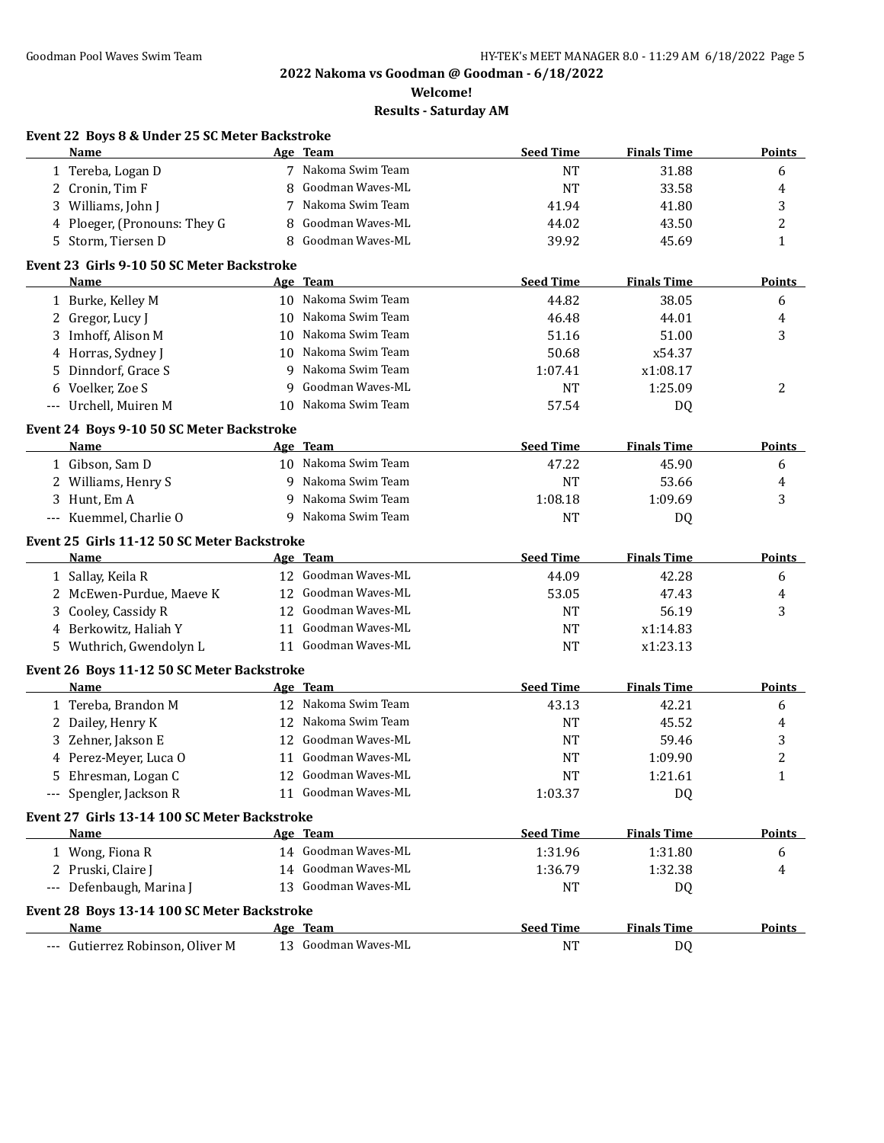**Welcome!**

|    | Name                                                       |   | Age Team                        | <b>Seed Time</b>   | <b>Finals Time</b> | <b>Points</b>  |
|----|------------------------------------------------------------|---|---------------------------------|--------------------|--------------------|----------------|
|    | 1 Tereba, Logan D                                          |   | 7 Nakoma Swim Team              | <b>NT</b>          | 31.88              | 6              |
|    | 2 Cronin, Tim F                                            | 8 | Goodman Waves-ML                | <b>NT</b>          | 33.58              | 4              |
|    | 3 Williams, John J                                         | 7 | Nakoma Swim Team                | 41.94              | 41.80              | 3              |
| 4  | Ploeger, (Pronouns: They G                                 | 8 | Goodman Waves-ML                | 44.02              | 43.50              | $\overline{c}$ |
| 5. | Storm, Tiersen D                                           | 8 | Goodman Waves-ML                | 39.92              | 45.69              | $\mathbf{1}$   |
|    | Event 23 Girls 9-10 50 SC Meter Backstroke                 |   |                                 |                    |                    |                |
|    | Name                                                       |   | Age Team                        | <b>Seed Time</b>   | <b>Finals Time</b> | <b>Points</b>  |
|    | 1 Burke, Kelley M                                          |   | 10 Nakoma Swim Team             | 44.82              | 38.05              | 6              |
|    | 2 Gregor, Lucy J                                           |   | 10 Nakoma Swim Team             | 46.48              | 44.01              | 4              |
|    | 3 Imhoff, Alison M                                         |   | 10 Nakoma Swim Team             | 51.16              | 51.00              | 3              |
|    | 4 Horras, Sydney J                                         |   | 10 Nakoma Swim Team             | 50.68              | x54.37             |                |
|    | 5 Dinndorf, Grace S                                        |   | 9 Nakoma Swim Team              | 1:07.41            | x1:08.17           |                |
|    | 6 Voelker, Zoe S                                           | q | Goodman Waves-ML                | <b>NT</b>          | 1:25.09            | 2              |
|    | --- Urchell, Muiren M                                      |   | 10 Nakoma Swim Team             | 57.54              | DQ                 |                |
|    | Event 24 Boys 9-10 50 SC Meter Backstroke                  |   |                                 |                    |                    |                |
|    | Name                                                       |   | Age Team                        | <b>Seed Time</b>   | <b>Finals Time</b> | <b>Points</b>  |
|    | 1 Gibson, Sam D                                            |   | 10 Nakoma Swim Team             | 47.22              | 45.90              | 6              |
|    | 2 Williams, Henry S                                        |   | 9 Nakoma Swim Team              | <b>NT</b>          | 53.66              | 4              |
|    | 3 Hunt, Em A                                               | 9 | Nakoma Swim Team                | 1:08.18            | 1:09.69            | 3              |
|    | --- Kuemmel, Charlie O                                     |   | 9 Nakoma Swim Team              | <b>NT</b>          | DQ                 |                |
|    |                                                            |   |                                 |                    |                    |                |
|    | Event 25 Girls 11-12 50 SC Meter Backstroke<br><b>Name</b> |   | <u>Age Team</u>                 | <b>Seed Time</b>   | <b>Finals Time</b> | <b>Points</b>  |
|    | 1 Sallay, Keila R                                          |   | 12 Goodman Waves-ML             | 44.09              | 42.28              | 6              |
|    | 2 McEwen-Purdue, Maeve K                                   |   | 12 Goodman Waves-ML             | 53.05              | 47.43              | 4              |
|    | 3 Cooley, Cassidy R                                        |   | 12 Goodman Waves-ML             | <b>NT</b>          | 56.19              | 3              |
|    | 4 Berkowitz, Haliah Y                                      |   | 11 Goodman Waves-ML             | <b>NT</b>          | x1:14.83           |                |
|    | 5 Wuthrich, Gwendolyn L                                    |   | 11 Goodman Waves-ML             | <b>NT</b>          | x1:23.13           |                |
|    |                                                            |   |                                 |                    |                    |                |
|    | Event 26 Boys 11-12 50 SC Meter Backstroke                 |   | Age Team                        | <b>Seed Time</b>   | <b>Finals Time</b> | <b>Points</b>  |
|    | Name<br>1 Tereba, Brandon M                                |   | 12 Nakoma Swim Team             |                    |                    |                |
|    |                                                            |   | 12 Nakoma Swim Team             | 43.13<br><b>NT</b> | 42.21<br>45.52     | 6              |
|    | 2 Dailey, Henry K<br>3 Zehner, Jakson E                    |   | 12 Goodman Waves-ML             | <b>NT</b>          | 59.46              | 4              |
|    | 4 Perez-Meyer, Luca O                                      |   | 11 Goodman Waves-ML             | <b>NT</b>          | 1:09.90            | 3<br>2         |
|    |                                                            |   | 12 Goodman Waves-ML             | <b>NT</b>          |                    |                |
|    | 5 Ehresman, Logan C<br>--- Spengler, Jackson R             |   | 11 Goodman Waves-ML             | 1:03.37            | 1:21.61<br>DQ      |                |
|    |                                                            |   |                                 |                    |                    |                |
|    | Event 27 Girls 13-14 100 SC Meter Backstroke               |   |                                 |                    |                    |                |
|    | Name                                                       |   | Age Team                        | <b>Seed Time</b>   | <b>Finals Time</b> | <b>Points</b>  |
|    | 1 Wong, Fiona R                                            |   | 14 Goodman Waves-ML             | 1:31.96            | 1:31.80            | 6              |
|    | 2 Pruski, Claire J                                         |   | 14 Goodman Waves-ML             | 1:36.79            | 1:32.38            | 4              |
|    | --- Defenbaugh, Marina J                                   |   | 13 Goodman Waves-ML             | NT                 | DQ                 |                |
|    | Event 28 Boys 13-14 100 SC Meter Backstroke                |   |                                 |                    |                    |                |
|    |                                                            |   |                                 |                    |                    |                |
|    | Name                                                       |   | Age Team<br>13 Goodman Waves-ML | <b>Seed Time</b>   | <b>Finals Time</b> | <b>Points</b>  |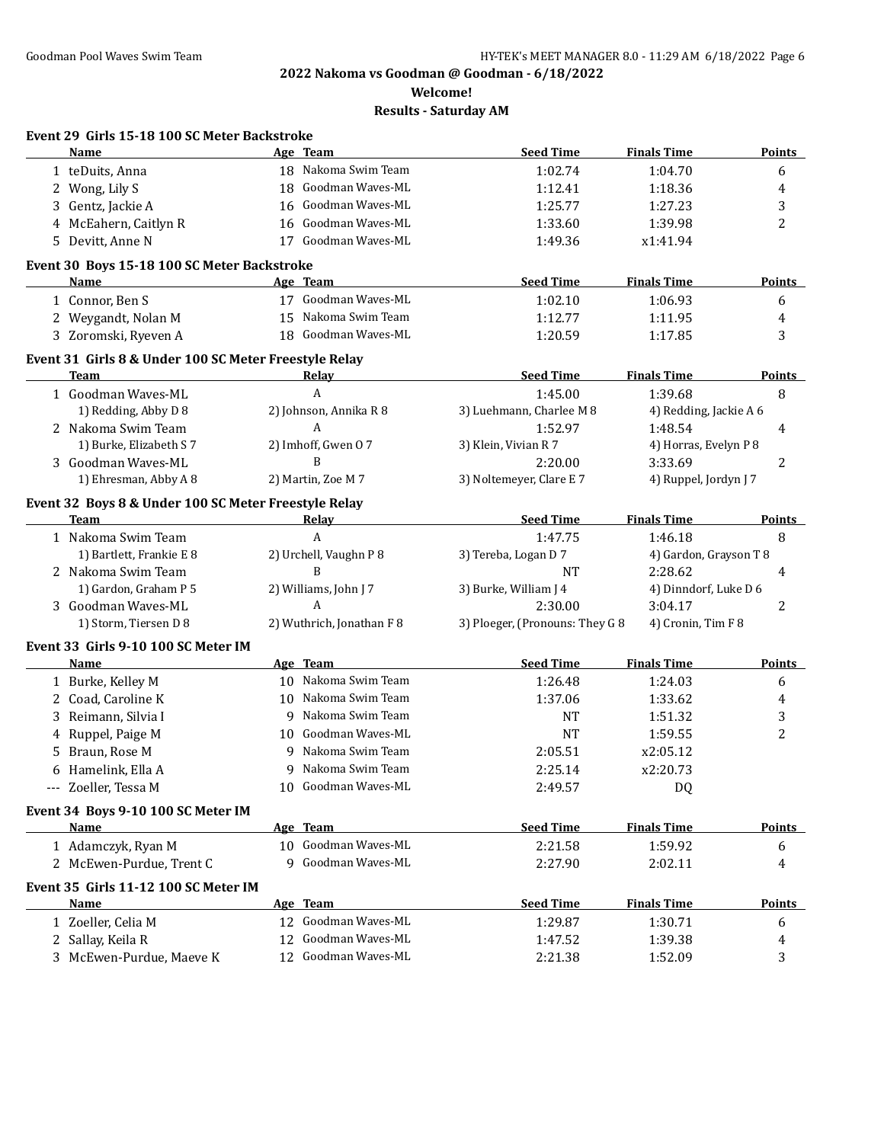**Welcome!**

| Event 29 Girls 15-18 100 SC Meter Backstroke          |                           |                                 |                        |               |
|-------------------------------------------------------|---------------------------|---------------------------------|------------------------|---------------|
| Name                                                  | Age Team                  | <b>Seed Time</b>                | <b>Finals Time</b>     | <b>Points</b> |
| 1 teDuits, Anna                                       | 18 Nakoma Swim Team       | 1:02.74                         | 1:04.70                | 6             |
| 2 Wong, Lily S                                        | 18 Goodman Waves-ML       | 1:12.41                         | 1:18.36                | 4             |
| 3 Gentz, Jackie A                                     | 16 Goodman Waves-ML       | 1:25.77                         | 1:27.23                | 3             |
| 4 McEahern, Caitlyn R                                 | 16 Goodman Waves-ML       | 1:33.60                         | 1:39.98                | 2             |
| 5 Devitt, Anne N                                      | 17 Goodman Waves-ML       | 1:49.36                         | x1:41.94               |               |
| Event 30 Boys 15-18 100 SC Meter Backstroke           |                           |                                 |                        |               |
| <b>Name</b>                                           | <u>Age Team</u>           | <b>Seed Time</b>                | <b>Finals Time</b>     | <b>Points</b> |
| 1 Connor, Ben S                                       | 17 Goodman Waves-ML       | 1:02.10                         | 1:06.93                | 6             |
| 2 Weygandt, Nolan M                                   | 15 Nakoma Swim Team       | 1:12.77                         | 1:11.95                | 4             |
| 3 Zoromski, Ryeven A                                  | 18 Goodman Waves-ML       | 1:20.59                         | 1:17.85                | 3             |
| Event 31 Girls 8 & Under 100 SC Meter Freestyle Relay |                           |                                 |                        |               |
| Team                                                  | Relay                     | <b>Seed Time</b>                | <b>Finals Time</b>     | <b>Points</b> |
| 1 Goodman Waves-ML                                    | $\overline{A}$            | 1:45.00                         | 1:39.68                | 8             |
| 1) Redding, Abby D 8                                  | 2) Johnson, Annika R 8    | 3) Luehmann, Charlee M 8        | 4) Redding, Jackie A 6 |               |
| 2 Nakoma Swim Team                                    | A                         | 1:52.97                         | 1:48.54                | 4             |
| 1) Burke, Elizabeth S 7                               | 2) Imhoff, Gwen 07        | 3) Klein, Vivian R 7            | 4) Horras, Evelyn P 8  |               |
| 3 Goodman Waves-ML                                    | B                         | 2:20.00                         | 3:33.69                | 2             |
| 1) Ehresman, Abby A 8                                 | 2) Martin, Zoe M 7        | 3) Noltemeyer, Clare E 7        | 4) Ruppel, Jordyn J 7  |               |
| Event 32 Boys 8 & Under 100 SC Meter Freestyle Relay  |                           |                                 |                        |               |
| Team                                                  | <u>Relav</u>              | <b>Seed Time</b>                | <b>Finals Time</b>     | <b>Points</b> |
| 1 Nakoma Swim Team                                    | A                         | 1:47.75                         | 1:46.18                | 8             |
| 1) Bartlett, Frankie E 8                              | 2) Urchell, Vaughn P 8    | 3) Tereba, Logan D 7            | 4) Gardon, Grayson T 8 |               |
| 2 Nakoma Swim Team                                    | B                         | <b>NT</b>                       | 2:28.62                | 4             |
| 1) Gardon, Graham P 5                                 | 2) Williams, John J 7     | 3) Burke, William J 4           | 4) Dinndorf, Luke D 6  |               |
| 3 Goodman Waves-ML                                    | A                         | 2:30.00                         | 3:04.17                | 2             |
| 1) Storm, Tiersen D 8                                 | 2) Wuthrich, Jonathan F 8 | 3) Ploeger, (Pronouns: They G 8 | 4) Cronin, Tim F 8     |               |
| Event 33 Girls 9-10 100 SC Meter IM                   |                           |                                 |                        |               |
| Name                                                  | Age Team                  | <b>Seed Time</b>                | <b>Finals Time</b>     | <b>Points</b> |
| 1 Burke, Kelley M                                     | 10 Nakoma Swim Team       | 1:26.48                         | 1:24.03                | 6             |
| 2 Coad, Caroline K                                    | 10 Nakoma Swim Team       | 1:37.06                         | 1:33.62                | 4             |
| 3 Reimann, Silvia I                                   | 9 Nakoma Swim Team        | <b>NT</b>                       | 1:51.32                | 3             |
| 4 Ruppel, Paige M                                     | 10 Goodman Waves-ML       | NT                              | 1:59.55                | 2             |
| 5 Braun, Rose M                                       | 9 Nakoma Swim Team        | 2:05.51                         | x2:05.12               |               |
| 6 Hamelink, Ella A                                    | 9 Nakoma Swim Team        | 2:25.14                         | x2:20.73               |               |
| --- Zoeller, Tessa M                                  | 10 Goodman Waves-ML       | 2:49.57                         | DQ                     |               |
| Event 34 Boys 9-10 100 SC Meter IM                    |                           |                                 |                        |               |
| Name                                                  | Age Team                  | <b>Seed Time</b>                | <b>Finals Time</b>     | <b>Points</b> |
| 1 Adamczyk, Ryan M                                    | 10 Goodman Waves-ML       | 2:21.58                         | 1:59.92                | 6             |
| 2 McEwen-Purdue, Trent C                              | 9 Goodman Waves-ML        | 2:27.90                         | 2:02.11                | 4             |
| Event 35 Girls 11-12 100 SC Meter IM                  |                           |                                 |                        |               |
| Name                                                  | Age Team                  | <b>Seed Time</b>                | <b>Finals Time</b>     | <b>Points</b> |
| 1 Zoeller, Celia M                                    | 12 Goodman Waves-ML       | 1:29.87                         | 1:30.71                | 6             |
| 2 Sallay, Keila R                                     | Goodman Waves-ML<br>12    | 1:47.52                         | 1:39.38                | 4             |
| 3 McEwen-Purdue, Maeve K                              | Goodman Waves-ML<br>12    | 2:21.38                         | 1:52.09                | 3             |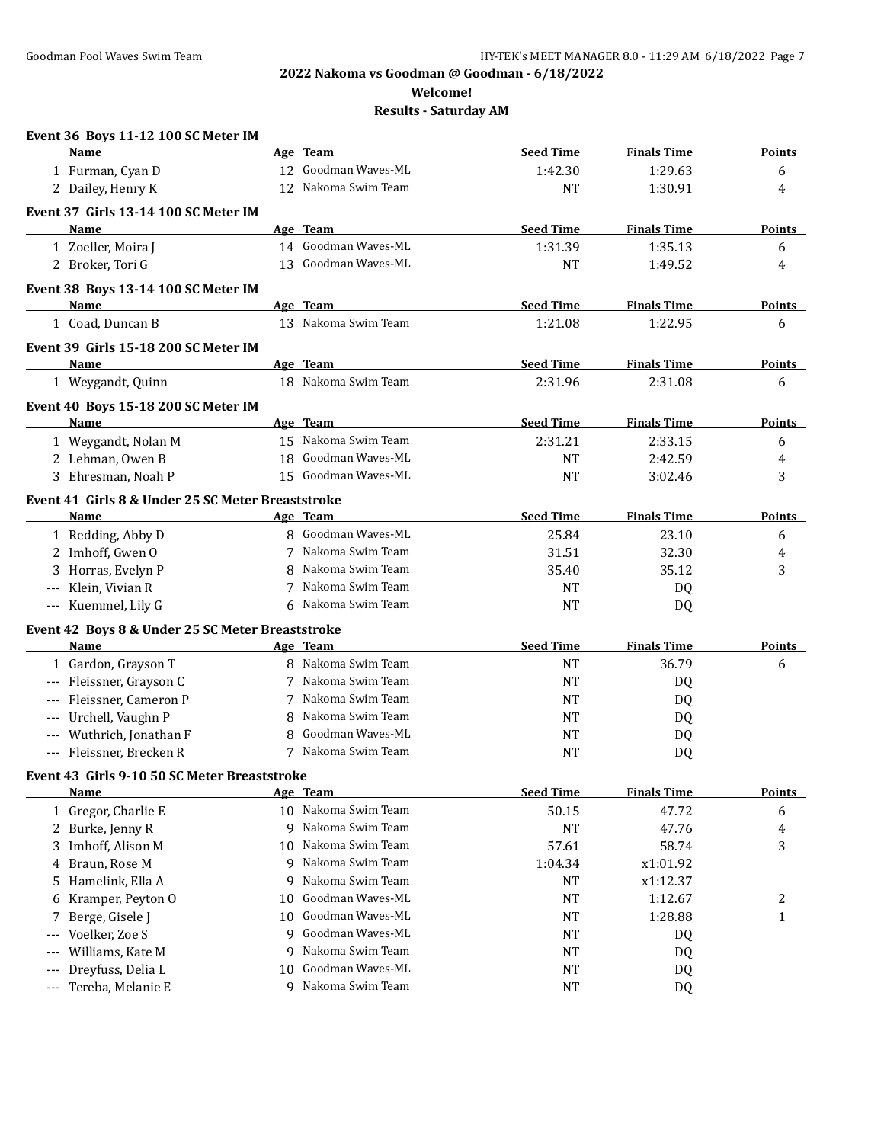**Welcome!**

| Event 36 Boys 11-12 100 SC Meter IM                       |    |                     |                  |                    |               |
|-----------------------------------------------------------|----|---------------------|------------------|--------------------|---------------|
| Name                                                      |    | Age Team            | <b>Seed Time</b> | <b>Finals Time</b> | <b>Points</b> |
| 1 Furman, Cyan D                                          |    | 12 Goodman Waves-ML | 1:42.30          | 1:29.63            | 6             |
| 2 Dailey, Henry K                                         |    | 12 Nakoma Swim Team | <b>NT</b>        | 1:30.91            | 4             |
| Event 37 Girls 13-14 100 SC Meter IM                      |    |                     |                  |                    |               |
| Name                                                      |    | Age Team            | <b>Seed Time</b> | <b>Finals Time</b> | <b>Points</b> |
| 1 Zoeller, Moira J                                        |    | 14 Goodman Waves-ML | 1:31.39          | 1:35.13            | 6             |
| 2 Broker, Tori G                                          |    | 13 Goodman Waves-ML | <b>NT</b>        | 1:49.52            | 4             |
| Event 38 Boys 13-14 100 SC Meter IM                       |    |                     |                  |                    |               |
| Name                                                      |    | Age Team            | <b>Seed Time</b> | <b>Finals Time</b> | <b>Points</b> |
| 1 Coad, Duncan B                                          |    | 13 Nakoma Swim Team | 1:21.08          | 1:22.95            | 6             |
| Event 39 Girls 15-18 200 SC Meter IM                      |    |                     |                  |                    |               |
| Name                                                      |    | Age Team            | <b>Seed Time</b> | <b>Finals Time</b> | <b>Points</b> |
| 1 Weygandt, Quinn                                         |    | 18 Nakoma Swim Team | 2:31.96          | 2:31.08            | 6             |
| Event 40 Boys 15-18 200 SC Meter IM                       |    |                     |                  |                    |               |
| Name                                                      |    | Age Team            | <b>Seed Time</b> | <b>Finals Time</b> | <b>Points</b> |
| 1 Weygandt, Nolan M                                       |    | 15 Nakoma Swim Team | 2:31.21          | 2:33.15            | 6             |
| 2 Lehman, Owen B                                          |    | 18 Goodman Waves-ML | <b>NT</b>        | 2:42.59            | 4             |
| 3 Ehresman, Noah P                                        |    | 15 Goodman Waves-ML | <b>NT</b>        | 3:02.46            | 3             |
|                                                           |    |                     |                  |                    |               |
| Event 41 Girls 8 & Under 25 SC Meter Breaststroke<br>Name |    | Age Team            | <b>Seed Time</b> | <b>Finals Time</b> | <b>Points</b> |
| 1 Redding, Abby D                                         |    | 8 Goodman Waves-ML  | 25.84            | 23.10              | 6             |
| 2 Imhoff, Gwen O                                          |    | 7 Nakoma Swim Team  | 31.51            | 32.30              | 4             |
| 3 Horras, Evelyn P                                        | 8  | Nakoma Swim Team    | 35.40            | 35.12              | 3             |
| Klein, Vivian R                                           | 7  | Nakoma Swim Team    | <b>NT</b>        | DQ                 |               |
| --- Kuemmel, Lily G                                       |    | 6 Nakoma Swim Team  | <b>NT</b>        | DQ                 |               |
|                                                           |    |                     |                  |                    |               |
| Event 42 Boys 8 & Under 25 SC Meter Breaststroke          |    | Age Team            | <b>Seed Time</b> | <b>Finals Time</b> | Points        |
| Name                                                      |    | 8 Nakoma Swim Team  |                  |                    |               |
| 1 Gardon, Grayson T                                       |    | 7 Nakoma Swim Team  | <b>NT</b>        | 36.79              | 6             |
| --- Fleissner, Grayson C<br>Fleissner, Cameron P          |    | 7 Nakoma Swim Team  | <b>NT</b>        | DQ                 |               |
|                                                           |    | Nakoma Swim Team    | <b>NT</b>        | DQ                 |               |
| Urchell, Vaughn P                                         | 8  | Goodman Waves-ML    | <b>NT</b>        | DQ                 |               |
| Wuthrich, Jonathan F                                      | 8  | 7 Nakoma Swim Team  | <b>NT</b>        | DQ                 |               |
| Fleissner, Brecken R                                      |    |                     | NT               | DQ                 |               |
| Event 43 Girls 9-10 50 SC Meter Breaststroke              |    |                     |                  |                    |               |
| <b>Name</b>                                               |    | <u>Age Team</u>     | <b>Seed Time</b> | <b>Finals Time</b> | <b>Points</b> |
| 1 Gregor, Charlie E                                       |    | 10 Nakoma Swim Team | 50.15            | 47.72              | 6             |
| Burke, Jenny R<br>2                                       | 9  | Nakoma Swim Team    | <b>NT</b>        | 47.76              | 4             |
| Imhoff, Alison M<br>3                                     | 10 | Nakoma Swim Team    | 57.61            | 58.74              | 3             |
| Braun, Rose M<br>4                                        | 9  | Nakoma Swim Team    | 1:04.34          | x1:01.92           |               |
| Hamelink, Ella A<br>5.                                    | 9  | Nakoma Swim Team    | NT               | x1:12.37           |               |
| Kramper, Peyton O<br>6                                    | 10 | Goodman Waves-ML    | <b>NT</b>        | 1:12.67            | 2             |
| Berge, Gisele J                                           | 10 | Goodman Waves-ML    | NT               | 1:28.88            | $\mathbf{1}$  |
| Voelker, Zoe S<br>---                                     | 9  | Goodman Waves-ML    | NT               | DQ                 |               |
| Williams, Kate M                                          | 9  | Nakoma Swim Team    | NT               | DQ                 |               |
| Dreyfuss, Delia L<br>---                                  | 10 | Goodman Waves-ML    | NT               | DQ                 |               |
| Tereba, Melanie E<br>---                                  | 9  | Nakoma Swim Team    | NT               | DQ                 |               |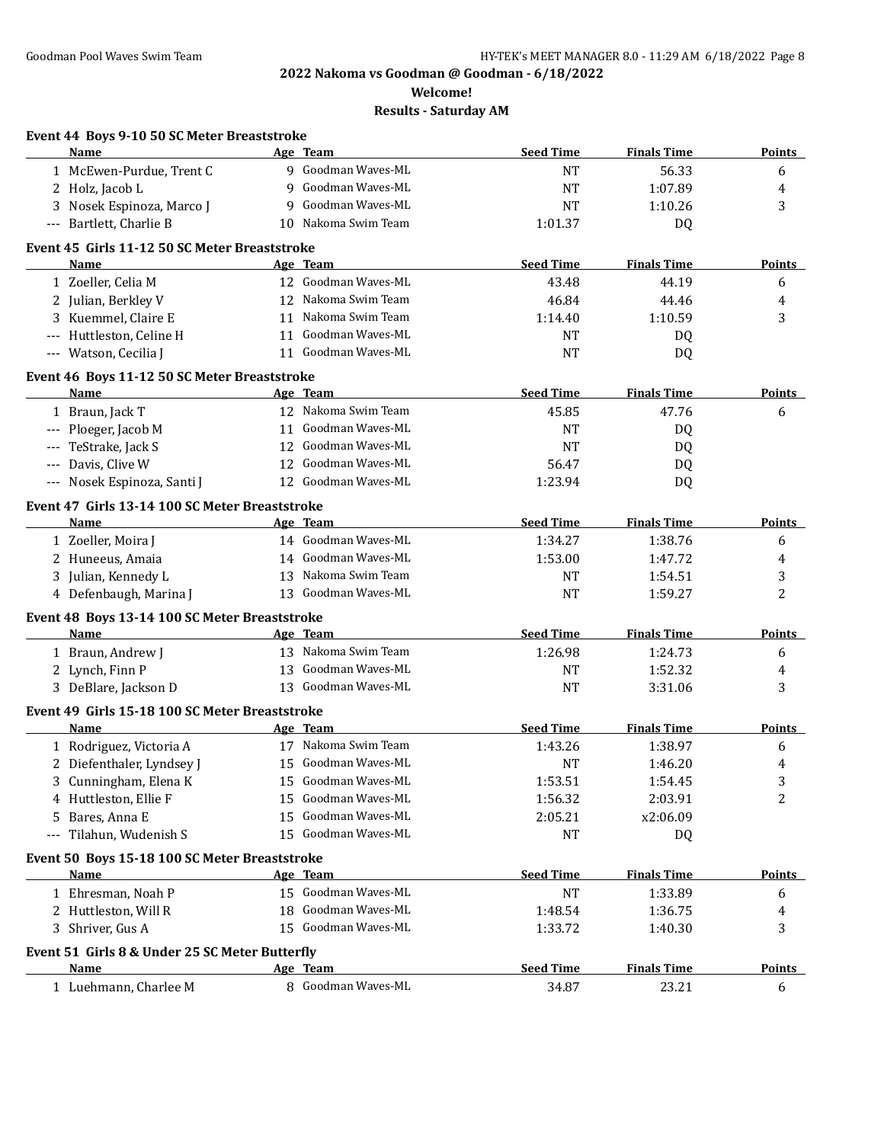**Welcome!**

| Event 44 Boys 9-10 50 SC Meter Breaststroke<br>Name |    | Age Team            | <b>Seed Time</b> | <b>Finals Time</b> | <b>Points</b> |
|-----------------------------------------------------|----|---------------------|------------------|--------------------|---------------|
|                                                     |    | 9 Goodman Waves-ML  |                  |                    |               |
| 1 McEwen-Purdue, Trent C                            | 9  | Goodman Waves-ML    | <b>NT</b>        | 56.33              | 6             |
| 2 Holz, Jacob L                                     |    | Goodman Waves-ML    | NT               | 1:07.89            | 4             |
| 3 Nosek Espinoza, Marco J                           | 9  | Nakoma Swim Team    | NT               | 1:10.26            | 3             |
| --- Bartlett, Charlie B                             | 10 |                     | 1:01.37          | DQ                 |               |
| Event 45 Girls 11-12 50 SC Meter Breaststroke       |    |                     |                  |                    |               |
| Name                                                |    | Age Team            | <b>Seed Time</b> | <b>Finals Time</b> | <b>Points</b> |
| 1 Zoeller, Celia M                                  |    | 12 Goodman Waves-ML | 43.48            | 44.19              | 6             |
| 2 Julian, Berkley V                                 |    | 12 Nakoma Swim Team | 46.84            | 44.46              | 4             |
| 3 Kuemmel, Claire E                                 |    | 11 Nakoma Swim Team | 1:14.40          | 1:10.59            | 3             |
| --- Huttleston, Celine H                            |    | 11 Goodman Waves-ML | <b>NT</b>        | DQ                 |               |
| --- Watson, Cecilia J                               |    | 11 Goodman Waves-ML | NT               | DQ                 |               |
| Event 46 Boys 11-12 50 SC Meter Breaststroke        |    |                     |                  |                    |               |
| Name                                                |    | Age Team            | <b>Seed Time</b> | <b>Finals Time</b> | Points        |
| 1 Braun, Jack T                                     |    | 12 Nakoma Swim Team | 45.85            | 47.76              | 6             |
| --- Ploeger, Jacob M                                |    | 11 Goodman Waves-ML | <b>NT</b>        | DQ                 |               |
| TeStrake, Jack S                                    |    | 12 Goodman Waves-ML | <b>NT</b>        | DQ                 |               |
| Davis, Clive W                                      |    | 12 Goodman Waves-ML | 56.47            | DQ                 |               |
| --- Nosek Espinoza, Santi J                         |    | 12 Goodman Waves-ML | 1:23.94          | DQ                 |               |
| Event 47 Girls 13-14 100 SC Meter Breaststroke      |    |                     |                  |                    |               |
| Name                                                |    | Age Team            | <b>Seed Time</b> | <b>Finals Time</b> | Points        |
| 1 Zoeller, Moira J                                  |    | 14 Goodman Waves-ML | 1:34.27          | 1:38.76            | 6             |
| 2 Huneeus, Amaia                                    |    | 14 Goodman Waves-ML | 1:53.00          | 1:47.72            | 4             |
| 3 Julian, Kennedy L                                 | 13 | Nakoma Swim Team    | <b>NT</b>        | 1:54.51            | 3             |
| 4 Defenbaugh, Marina J                              |    | 13 Goodman Waves-ML | NT               | 1:59.27            | 2             |
| Event 48 Boys 13-14 100 SC Meter Breaststroke       |    |                     |                  |                    |               |
| Name                                                |    | Age Team            | <b>Seed Time</b> | <b>Finals Time</b> | <b>Points</b> |
| 1 Braun, Andrew J                                   |    | 13 Nakoma Swim Team | 1:26.98          | 1:24.73            | 6             |
| 2 Lynch, Finn P                                     | 13 | Goodman Waves-ML    | <b>NT</b>        | 1:52.32            | 4             |
| 3 DeBlare, Jackson D                                |    | 13 Goodman Waves-ML | <b>NT</b>        | 3:31.06            | 3             |
| Event 49 Girls 15-18 100 SC Meter Breaststroke      |    |                     |                  |                    |               |
| Name                                                |    | Age Team            | <b>Seed Time</b> | <b>Finals Time</b> | Points        |
| 1 Rodriguez, Victoria A                             |    | 17 Nakoma Swim Team | 1:43.26          | 1:38.97            | 6             |
| 2 Diefenthaler, Lyndsey J                           |    | 15 Goodman Waves-ML | <b>NT</b>        | 1:46.20            | 4             |
| 3 Cunningham, Elena K                               | 15 | Goodman Waves-ML    | 1:53.51          | 1:54.45            | 3             |
| 4 Huttleston, Ellie F                               | 15 | Goodman Waves-ML    | 1:56.32          | 2:03.91            | 2             |
| 5 Bares, Anna E                                     | 15 | Goodman Waves-ML    | 2:05.21          | x2:06.09           |               |
| --- Tilahun, Wudenish S                             | 15 | Goodman Waves-ML    | <b>NT</b>        | DQ                 |               |
| Event 50 Boys 15-18 100 SC Meter Breaststroke       |    |                     |                  |                    |               |
| Name                                                |    | <u>Age Team</u>     | <b>Seed Time</b> | <b>Finals Time</b> | <b>Points</b> |
| 1 Ehresman, Noah P                                  |    | 15 Goodman Waves-ML | <b>NT</b>        | 1:33.89            | 6             |
| 2 Huttleston, Will R                                | 18 | Goodman Waves-ML    | 1:48.54          | 1:36.75            | 4             |
| 3 Shriver, Gus A                                    | 15 | Goodman Waves-ML    | 1:33.72          | 1:40.30            | 3             |
|                                                     |    |                     |                  |                    |               |
| Event 51 Girls 8 & Under 25 SC Meter Butterfly      |    |                     |                  |                    |               |
| Name                                                |    | Age Team            | <b>Seed Time</b> | <b>Finals Time</b> | <b>Points</b> |
| 1 Luehmann, Charlee M                               |    | 8 Goodman Waves-ML  | 34.87            | 23.21              | 6             |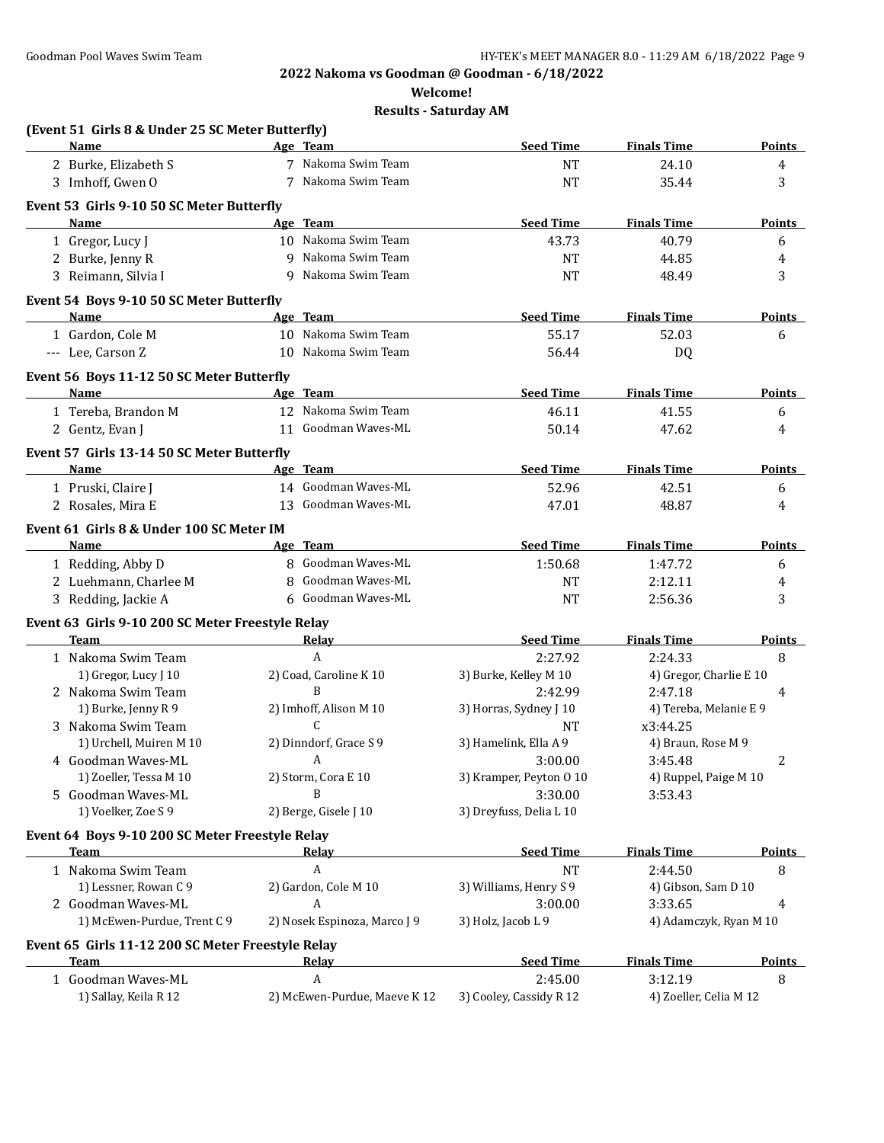**Welcome!**

| (Event 51 Girls 8 & Under 25 SC Meter Butterfly)                 |                              |                         |                         |               |
|------------------------------------------------------------------|------------------------------|-------------------------|-------------------------|---------------|
| <b>Name</b>                                                      | Age Team                     | <b>Seed Time</b>        | <b>Finals Time</b>      | <b>Points</b> |
| 2 Burke, Elizabeth S                                             | 7 Nakoma Swim Team           | <b>NT</b>               | 24.10                   | 4             |
| 3 Imhoff, Gwen O                                                 | 7 Nakoma Swim Team           | <b>NT</b>               | 35.44                   | 3             |
| Event 53 Girls 9-10 50 SC Meter Butterfly                        |                              |                         |                         |               |
| <b>Name</b>                                                      | Age Team                     | <b>Seed Time</b>        | <b>Finals Time</b>      | <b>Points</b> |
| 1 Gregor, Lucy J                                                 | 10 Nakoma Swim Team          | 43.73                   | 40.79                   | 6             |
| 2 Burke, Jenny R                                                 | 9 Nakoma Swim Team           | <b>NT</b>               | 44.85                   | 4             |
| 3 Reimann, Silvia I                                              | 9 Nakoma Swim Team           | <b>NT</b>               | 48.49                   | 3             |
| Event 54 Boys 9-10 50 SC Meter Butterfly                         |                              |                         |                         |               |
| Name                                                             | Age Team                     | <b>Seed Time</b>        | <b>Finals Time</b>      | <b>Points</b> |
| 1 Gardon, Cole M                                                 | 10 Nakoma Swim Team          | 55.17                   | 52.03                   | 6             |
| --- Lee, Carson Z                                                | 10 Nakoma Swim Team          | 56.44                   | DQ                      |               |
|                                                                  |                              |                         |                         |               |
| Event 56 Boys 11-12 50 SC Meter Butterfly                        |                              |                         |                         |               |
| Name                                                             | Age Team                     | <b>Seed Time</b>        | <b>Finals Time</b>      | <b>Points</b> |
| 1 Tereba, Brandon M                                              | 12 Nakoma Swim Team          | 46.11                   | 41.55                   | 6             |
| 2 Gentz, Evan J                                                  | 11 Goodman Waves-ML          | 50.14                   | 47.62                   | 4             |
| Event 57 Girls 13-14 50 SC Meter Butterfly                       |                              |                         |                         |               |
| Name                                                             | Age Team                     | <b>Seed Time</b>        | <b>Finals Time</b>      | <b>Points</b> |
| 1 Pruski, Claire J                                               | 14 Goodman Waves-ML          | 52.96                   | 42.51                   | 6             |
| 2 Rosales, Mira E                                                | 13 Goodman Waves-ML          | 47.01                   | 48.87                   | 4             |
| Event 61 Girls 8 & Under 100 SC Meter IM                         |                              |                         |                         |               |
| Name                                                             | Age Team                     | <b>Seed Time</b>        | <b>Finals Time</b>      | <b>Points</b> |
| 1 Redding, Abby D                                                | 8 Goodman Waves-ML           | 1:50.68                 | 1:47.72                 | 6             |
| 2 Luehmann, Charlee M                                            | 8 Goodman Waves-ML           | <b>NT</b>               | 2:12.11                 | 4             |
| 3 Redding, Jackie A                                              | 6 Goodman Waves-ML           | <b>NT</b>               | 2:56.36                 | 3             |
| Event 63 Girls 9-10 200 SC Meter Freestyle Relay                 |                              |                         |                         |               |
| Team                                                             | Relay                        | <b>Seed Time</b>        | <b>Finals Time</b>      | <b>Points</b> |
| 1 Nakoma Swim Team                                               | A                            | 2:27.92                 | 2:24.33                 | 8             |
| 1) Gregor, Lucy J 10                                             | 2) Coad, Caroline K 10       | 3) Burke, Kelley M 10   | 4) Gregor, Charlie E 10 |               |
| 2 Nakoma Swim Team                                               | B                            | 2:42.99                 | 2:47.18                 | 4             |
| 1) Burke, Jenny R 9                                              | 2) Imhoff, Alison M 10       | 3) Horras, Sydney J 10  | 4) Tereba, Melanie E 9  |               |
| 3 Nakoma Swim Team                                               | C                            | <b>NT</b>               | x3:44.25                |               |
| 1) Urchell, Muiren M 10                                          | 2) Dinndorf, Grace S 9       | 3) Hamelink, Ella A 9   | 4) Braun, Rose M 9      |               |
| 4 Goodman Waves-ML                                               | A                            | 3:00.00                 | 3:45.48                 | 2             |
| 1) Zoeller, Tessa M 10                                           | 2) Storm, Cora E 10          | 3) Kramper, Peyton 0 10 | 4) Ruppel, Paige M 10   |               |
| 5 Goodman Waves-ML                                               | B                            | 3:30.00                 | 3:53.43                 |               |
| 1) Voelker, Zoe S 9                                              | 2) Berge, Gisele J 10        | 3) Dreyfuss, Delia L 10 |                         |               |
| Event 64 Boys 9-10 200 SC Meter Freestyle Relay                  |                              |                         |                         |               |
| Team                                                             | <u>Relay</u>                 | <b>Seed Time</b>        | <b>Finals Time</b>      | <b>Points</b> |
| 1 Nakoma Swim Team                                               | A                            | <b>NT</b>               | 2:44.50                 | 8             |
| 1) Lessner, Rowan C 9                                            | 2) Gardon, Cole M 10         | 3) Williams, Henry S 9  | 4) Gibson, Sam D 10     |               |
| 2 Goodman Waves-ML                                               | A                            | 3:00.00                 | 3:33.65                 | 4             |
| 1) McEwen-Purdue, Trent C 9                                      | 2) Nosek Espinoza, Marco J 9 | 3) Holz, Jacob L 9      | 4) Adamczyk, Ryan M 10  |               |
|                                                                  |                              |                         |                         |               |
| Event 65 Girls 11-12 200 SC Meter Freestyle Relay<br><b>Team</b> | <b>Relay</b>                 | <b>Seed Time</b>        | <b>Finals Time</b>      | <b>Points</b> |
| 1 Goodman Waves-ML                                               | A                            | 2:45.00                 | 3:12.19                 | 8             |
| 1) Sallay, Keila R 12                                            | 2) McEwen-Purdue, Maeve K 12 | 3) Cooley, Cassidy R 12 | 4) Zoeller, Celia M 12  |               |
|                                                                  |                              |                         |                         |               |